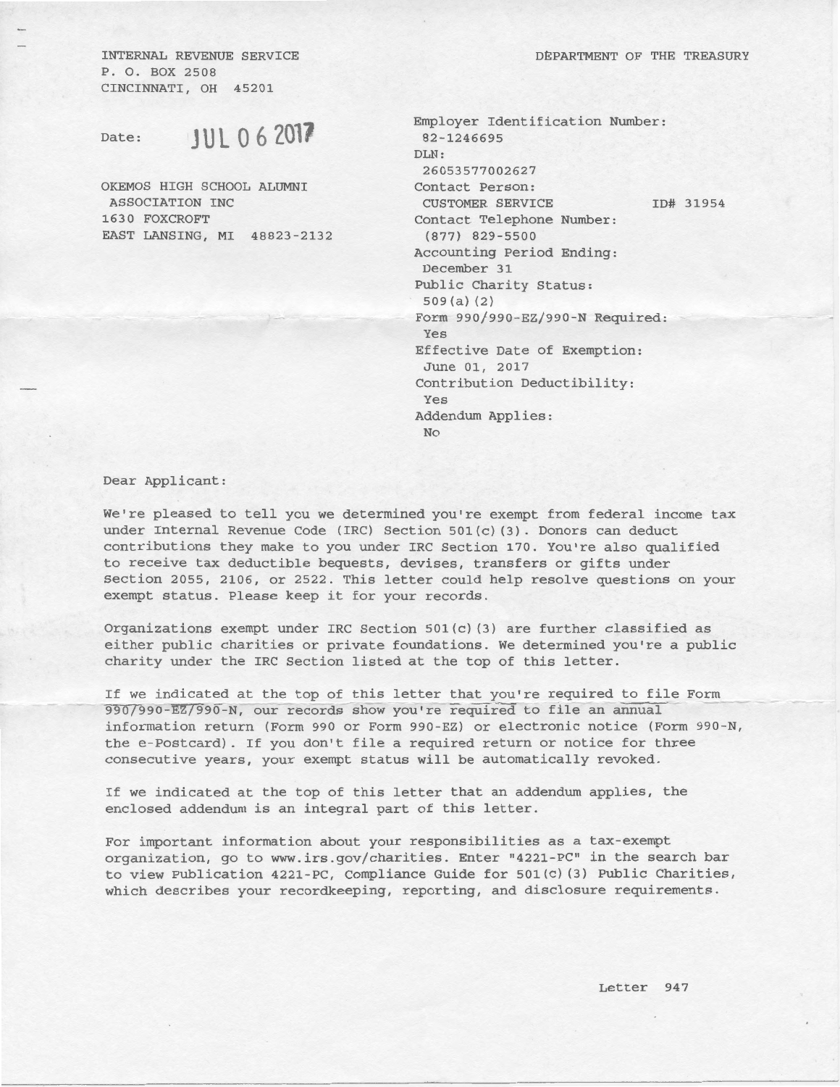DEPARTMENT OF THE TREASURY

INTERNAL REVENUE SERVICE P. 0. BOX 2508 CINCINNATI, OH 45201

Date: **JUL 0 6 201?** 

OKEMOS HIGH SCHOOL ALUMNI ASSOCIATION INC 1630 FOXCROFT EAST LANSING, MI 48823-2132

| Employer Identification Number:<br>82-1246695 |
|-----------------------------------------------|
| DLN:                                          |
| 26053577002627                                |
| Contact Person:                               |
| <b>CUSTOMER SERVICE</b><br>ID# 31954          |
| Contact Telephone Number:                     |
| $(877)$ 829-5500                              |
| Accounting Period Ending:<br>December 31      |
| Public Charity Status:                        |
| $509(a)$ (2)                                  |
| Form 990/990-EZ/990-N Required:<br>Yes        |
| Effective Date of Exemption:<br>June 01, 2017 |
| Contribution Deductibility:<br>Yes            |
| Addendum Applies:<br><b>No</b>                |
|                                               |

Dear Applicant:

We're pleased to tell you we determined you're exempt from federal income tax under Internal Revenue Code (IRC) Section 501(c) (3). Donors can deduct contributions they make to you under IRC Section 170. You're also qualified to receive tax deductible bequests, devises, transfers or gifts under Section 2055, 2106, or 2522. This letter could help resolve questions on your exempt status. Please keep it for your records.

Organizations exempt under IRC Section 501(c) (3) are further classified as either public charities or private foundations. We determined you're a public charity under the IRC Section listed at the top of this letter.

If we indicated at the top of this letter that you're required to file Form 990/990-EZ/990-N, our records show you're required to file an annual information return (Form 990 or Form 990-EZ) or electronic notice (Form 990-N, the e-Postcard). If you don't file a required return or notice for three consecutive years, your exempt status will be automatically revoked.

If we indicated at the top of this letter that an addendum applies, the enclosed addendum is an integral part of this letter.

For important information about your responsibilities as a tax-exempt organization, go to www.irs.gov/charities. Enter "4221-PC" in the search bar to view Publication 4221-PC, Compliance Guide for  $501(c)$  (3) Public Charities, which describes your recordkeeping, reporting, and disclosure requirements.